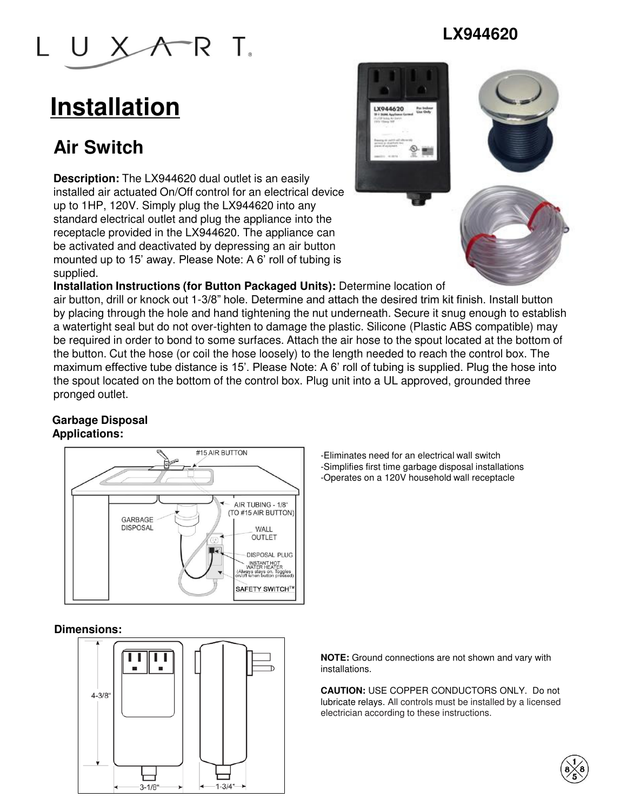

# **Installation**

## **Air Switch**

**Description:** The LX944620 dual outlet is an easily installed air actuated On/Off control for an electrical device up to 1HP, 120V. Simply plug the LX944620 into any standard electrical outlet and plug the appliance into the receptacle provided in the LX944620. The appliance can be activated and deactivated by depressing an air button mounted up to 15' away. Please Note: A 6' roll of tubing is supplied.



**LX944620**

**Installation Instructions (for Button Packaged Units):** Determine location of

air button, drill or knock out 1-3/8" hole. Determine and attach the desired trim kit finish. Install button by placing through the hole and hand tightening the nut underneath. Secure it snug enough to establish a watertight seal but do not over-tighten to damage the plastic. Silicone (Plastic ABS compatible) may be required in order to bond to some surfaces. Attach the air hose to the spout located at the bottom of the button. Cut the hose (or coil the hose loosely) to the length needed to reach the control box. The maximum effective tube distance is 15'. Please Note: A 6' roll of tubing is supplied. Plug the hose into the spout located on the bottom of the control box. Plug unit into a UL approved, grounded three pronged outlet.

### **Garbage Disposal Applications:**



-Eliminates need for an electrical wall switch -Simplifies first time garbage disposal installations -Operates on a 120V household wall receptacle

### **Dimensions:**



**NOTE:** Ground connections are not shown and vary with installations.

**CAUTION:** USE COPPER CONDUCTORS ONLY. Do not lubricate relays. All controls must be installed by a licensed electrician according to these instructions.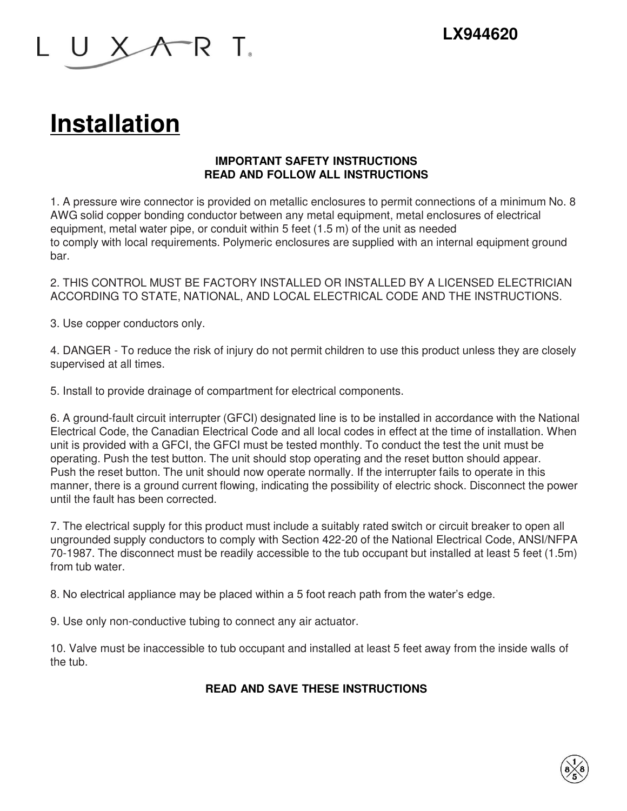

# **Installation**

### **IMPORTANT SAFETY INSTRUCTIONS READ AND FOLLOW ALL INSTRUCTIONS**

1. A pressure wire connector is provided on metallic enclosures to permit connections of a minimum No. 8 AWG solid copper bonding conductor between any metal equipment, metal enclosures of electrical equipment, metal water pipe, or conduit within 5 feet (1.5 m) of the unit as needed to comply with local requirements. Polymeric enclosures are supplied with an internal equipment ground bar.

2. THIS CONTROL MUST BE FACTORY INSTALLED OR INSTALLED BY A LICENSED ELECTRICIAN ACCORDING TO STATE, NATIONAL, AND LOCAL ELECTRICAL CODE AND THE INSTRUCTIONS.

3. Use copper conductors only.

4. DANGER - To reduce the risk of injury do not permit children to use this product unless they are closely supervised at all times.

5. Install to provide drainage of compartment for electrical components.

6. A ground-fault circuit interrupter (GFCI) designated line is to be installed in accordance with the National Electrical Code, the Canadian Electrical Code and all local codes in effect at the time of installation. When unit is provided with a GFCI, the GFCI must be tested monthly. To conduct the test the unit must be operating. Push the test button. The unit should stop operating and the reset button should appear. Push the reset button. The unit should now operate normally. If the interrupter fails to operate in this manner, there is a ground current flowing, indicating the possibility of electric shock. Disconnect the power until the fault has been corrected.

7. The electrical supply for this product must include a suitably rated switch or circuit breaker to open all ungrounded supply conductors to comply with Section 422-20 of the National Electrical Code, ANSI/NFPA 70-1987. The disconnect must be readily accessible to the tub occupant but installed at least 5 feet (1.5m) from tub water.

8. No electrical appliance may be placed within a 5 foot reach path from the water's edge.

9. Use only non-conductive tubing to connect any air actuator.

10. Valve must be inaccessible to tub occupant and installed at least 5 feet away from the inside walls of the tub.

### **READ AND SAVE THESE INSTRUCTIONS**